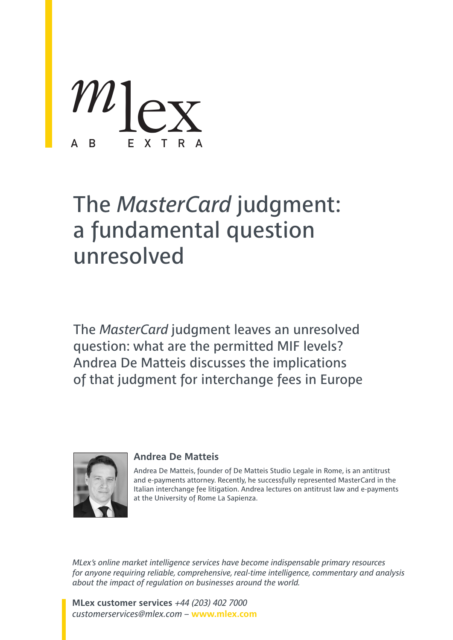

# The *MasterCard* judgment: a fundamental question unresolved

The *MasterCard* judgment leaves an unresolved question: what are the permitted MIF levels? Andrea De Matteis discusses the implications of that judgment for interchange fees in Europe



# **Andrea De Matteis**

Andrea De Matteis, founder of De Matteis Studio Legale in Rome, is an antitrust and e-payments attorney. Recently, he successfully represented MasterCard in the Italian interchange fee litigation. Andrea lectures on antitrust law and e-payments at the University of Rome La Sapienza.

*MLex's online market intelligence services have become indispensable primary resources for anyone requiring reliable, comprehensive, real-time intelligence, commentary and analysis about the impact of regulation on businesses around the world.*

**MLex customer services** *+44 (203) 402 7000 customerservices@mlex.com* – **www.mlex.com**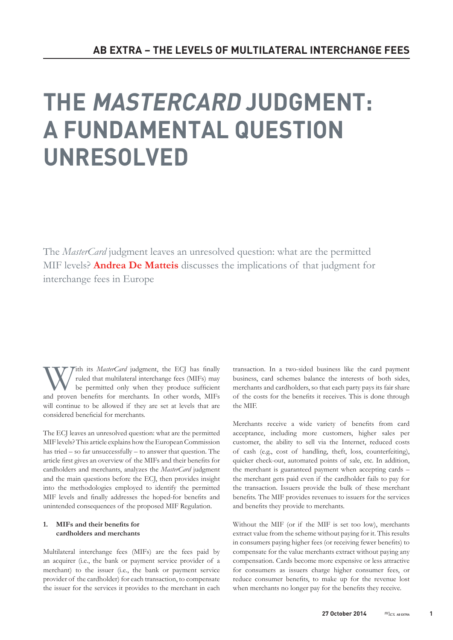# THE MASTERCARD JUDGMENT: A FUNDAMENTAL QUESTION UNRESOLVED

The *MasterCard* judgment leaves an unresolved question: what are the permitted MIF levels? **Andrea De Matteis** discusses the implications of that judgment for interchange fees in Europe

With its *MasterCard* judgment, the ECJ has finally ruled that multilateral interchange fees (MIFs) may be permitted only when they produce sufficient and proven benefits for merchants. In other words, MIFs will continue to be allowed if they are set at levels that are considered beneficial for merchants.

The ECJ leaves an unresolved question: what are the permitted MIF levels? This article explains how the European Commission has tried – so far unsuccessfully – to answer that question. The article first gives an overview of the MIFs and their benefits for cardholders and merchants, analyzes the *MasterCard* judgment and the main questions before the ECJ, then provides insight into the methodologies employed to identify the permitted MIF levels and finally addresses the hoped-for benefits and unintended consequences of the proposed MIF Regulation.

### **1. MIFs and their benefits for cardholders and merchants**

Multilateral interchange fees (MIFs) are the fees paid by an acquirer (i.e., the bank or payment service provider of a merchant) to the issuer (i.e., the bank or payment service provider of the cardholder) for each transaction, to compensate the issuer for the services it provides to the merchant in each transaction. In a two-sided business like the card payment business, card schemes balance the interests of both sides, merchants and cardholders, so that each party pays its fair share of the costs for the benefits it receives. This is done through the MIF.

Merchants receive a wide variety of benefits from card acceptance, including more customers, higher sales per customer, the ability to sell via the Internet, reduced costs of cash (e.g., cost of handling, theft, loss, counterfeiting), quicker check-out, automated points of sale, etc. In addition, the merchant is guaranteed payment when accepting cards – the merchant gets paid even if the cardholder fails to pay for the transaction. Issuers provide the bulk of these merchant benefits. The MIF provides revenues to issuers for the services and benefits they provide to merchants.

Without the MIF (or if the MIF is set too low), merchants extract value from the scheme without paying for it. This results in consumers paying higher fees (or receiving fewer benefits) to compensate for the value merchants extract without paying any compensation. Cards become more expensive or less attractive for consumers as issuers charge higher consumer fees, or reduce consumer benefits, to make up for the revenue lost when merchants no longer pay for the benefits they receive.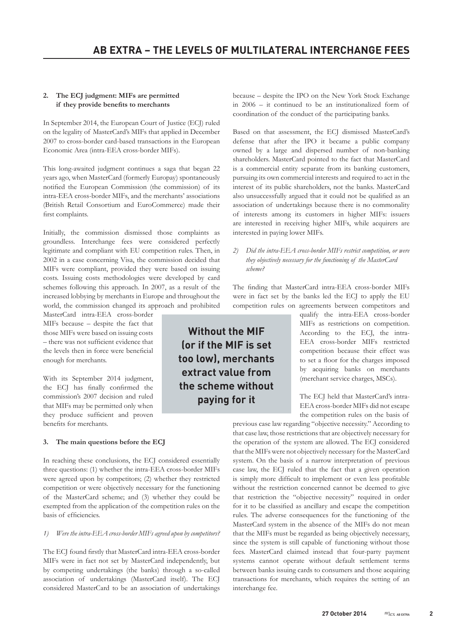## **2. The ECJ judgment: MIFs are permitted if they provide benefits to merchants**

In September 2014, the European Court of Justice (ECJ) ruled on the legality of MasterCard's MIFs that applied in December 2007 to cross-border card-based transactions in the European Economic Area (intra-EEA cross-border MIFs).

This long-awaited judgment continues a saga that began 22 years ago, when MasterCard (formerly Europay) spontaneously notified the European Commission (the commission) of its intra-EEA cross-border MIFs, and the merchants' associations (British Retail Consortium and EuroCommerce) made their first complaints.

Initially, the commission dismissed those complaints as groundless. Interchange fees were considered perfectly legitimate and compliant with EU competition rules. Then, in 2002 in a case concerning Visa, the commission decided that MIFs were compliant, provided they were based on issuing costs. Issuing costs methodologies were developed by card schemes following this approach. In 2007, as a result of the increased lobbying by merchants in Europe and throughout the world, the commission changed its approach and prohibited

MasterCard intra-EEA cross-border MIFs because – despite the fact that those MIFs were based on issuing costs – there was not sufficient evidence that the levels then in force were beneficial enough for merchants.

With its September 2014 judgment, the ECJ has finally confirmed the commission's 2007 decision and ruled that MIFs may be permitted only when they produce sufficient and proven benefits for merchants.

### **3. The main questions before the ECJ**

In reaching these conclusions, the ECJ considered essentially three questions: (1) whether the intra-EEA cross-border MIFs were agreed upon by competitors; (2) whether they restricted competition or were objectively necessary for the functioning of the MasterCard scheme; and (3) whether they could be exempted from the application of the competition rules on the basis of efficiencies.

#### *1) Were the intra-EEA cross-border MIFs agreed upon by competitors?*

The ECJ found firstly that MasterCard intra-EEA cross-border MIFs were in fact not set by MasterCard independently, but by competing undertakings (the banks) through a so-called association of undertakings (MasterCard itself). The ECJ considered MasterCard to be an association of undertakings because – despite the IPO on the New York Stock Exchange in 2006 – it continued to be an institutionalized form of coordination of the conduct of the participating banks.

Based on that assessment, the ECJ dismissed MasterCard's defense that after the IPO it became a public company owned by a large and dispersed number of non-banking shareholders. MasterCard pointed to the fact that MasterCard is a commercial entity separate from its banking customers, pursuing its own commercial interests and required to act in the interest of its public shareholders, not the banks. MasterCard also unsuccessfully argued that it could not be qualified as an association of undertakings because there is no commonality of interests among its customers in higher MIFs: issuers are interested in receiving higher MIFs, while acquirers are interested in paying lower MIFs.

*2) Did the intra-EEA cross-border MIFs restrict competition, or were they objectively necessary for the functioning of the MasterCard scheme?*

The finding that MasterCard intra-EEA cross-border MIFs were in fact set by the banks led the ECJ to apply the EU competition rules on agreements between competitors and

Without the MIF (or if the MIF is set too low), merchants extract value from the scheme without paying for it

qualify the intra-EEA cross-border MIFs as restrictions on competition. According to the ECJ, the intra-EEA cross-border MIFs restricted competition because their effect was to set a floor for the charges imposed by acquiring banks on merchants (merchant service charges, MSCs).

The ECJ held that MasterCard's intra-EEA cross-border MIFs did not escape the competition rules on the basis of

previous case law regarding "objective necessity." According to that case law, those restrictions that are objectively necessary for the operation of the system are allowed. The ECJ considered that the MIFs were not objectively necessary for the MasterCard system. On the basis of a narrow interpretation of previous case law, the ECJ ruled that the fact that a given operation is simply more difficult to implement or even less profitable without the restriction concerned cannot be deemed to give that restriction the "objective necessity" required in order for it to be classified as ancillary and escape the competition rules. The adverse consequences for the functioning of the MasterCard system in the absence of the MIFs do not mean that the MIFs must be regarded as being objectively necessary, since the system is still capable of functioning without those fees. MasterCard claimed instead that four-party payment systems cannot operate without default settlement terms between banks issuing cards to consumers and those acquiring transactions for merchants, which requires the setting of an interchange fee.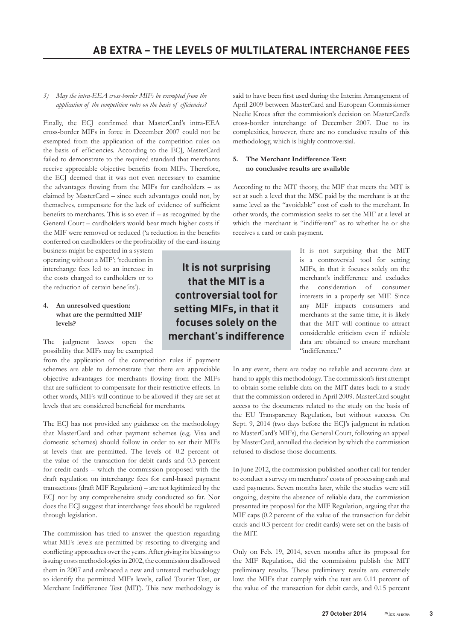### *3) May the intra-EEA cross-border MIFs be exempted from the application of the competition rules on the basis of efficiencies?*

Finally, the ECJ confirmed that MasterCard's intra-EEA cross-border MIFs in force in December 2007 could not be exempted from the application of the competition rules on the basis of efficiencies. According to the ECJ, MasterCard failed to demonstrate to the required standard that merchants receive appreciable objective benefits from MIFs. Therefore, the ECJ deemed that it was not even necessary to examine the advantages flowing from the MIFs for cardholders – as claimed by MasterCard – since such advantages could not, by themselves, compensate for the lack of evidence of sufficient benefits to merchants. This is so even if – as recognized by the General Court – cardholders would bear much higher costs if the MIF were removed or reduced ('a reduction in the benefits conferred on cardholders or the profitability of the card-issuing

business might be expected in a system operating without a MIF'; 'reduction in interchange fees led to an increase in the costs charged to cardholders or to the reduction of certain benefits').

#### **4. An unresolved question: what are the permitted MIF levels?**

The judgment leaves open the possibility that MIFs may be exempted

from the application of the competition rules if payment schemes are able to demonstrate that there are appreciable objective advantages for merchants flowing from the MIFs that are sufficient to compensate for their restrictive effects. In other words, MIFs will continue to be allowed if they are set at levels that are considered beneficial for merchants.

The ECJ has not provided any guidance on the methodology that MasterCard and other payment schemes (e.g. Visa and domestic schemes) should follow in order to set their MIFs at levels that are permitted. The levels of 0.2 percent of the value of the transaction for debit cards and 0.3 percent for credit cards – which the commission proposed with the draft regulation on interchange fees for card-based payment transactions (draft MIF Regulation) – are not legitimized by the ECJ nor by any comprehensive study conducted so far. Nor does the ECJ suggest that interchange fees should be regulated through legislation.

The commission has tried to answer the question regarding what MIFs levels are permitted by resorting to diverging and conflicting approaches over the years. After giving its blessing to issuing costs methodologies in 2002, the commission disallowed them in 2007 and embraced a new and untested methodology to identify the permitted MIFs levels, called Tourist Test, or Merchant Indifference Test (MIT). This new methodology is

said to have been first used during the Interim Arrangement of April 2009 between MasterCard and European Commissioner Neelie Kroes after the commission's decision on MasterCard's cross-border interchange of December 2007. Due to its complexities, however, there are no conclusive results of this methodology, which is highly controversial.

#### **5. The Merchant Indifference Test: no conclusive results are available**

According to the MIT theory, the MIF that meets the MIT is set at such a level that the MSC paid by the merchant is at the same level as the "avoidable" cost of cash to the merchant. In other words, the commission seeks to set the MIF at a level at which the merchant is "indifferent" as to whether he or she receives a card or cash payment.

It is not surprising that the MIT is a controversial tool for setting MIFs, in that it focuses solely on the merchant's indifference

It is not surprising that the MIT is a controversial tool for setting MIFs, in that it focuses solely on the merchant's indifference and excludes the consideration of consumer interests in a properly set MIF. Since any MIF impacts consumers and merchants at the same time, it is likely that the MIT will continue to attract considerable criticism even if reliable data are obtained to ensure merchant "indifference."

In any event, there are today no reliable and accurate data at hand to apply this methodology. The commission's first attempt to obtain some reliable data on the MIT dates back to a study that the commission ordered in April 2009. MasterCard sought access to the documents related to the study on the basis of the EU Transparency Regulation, but without success. On Sept. 9, 2014 (two days before the ECJ's judgment in relation to MasterCard's MIFs), the General Court, following an appeal by MasterCard, annulled the decision by which the commission refused to disclose those documents.

In June 2012, the commission published another call for tender to conduct a survey on merchants' costs of processing cash and card payments. Seven months later, while the studies were still ongoing, despite the absence of reliable data, the commission presented its proposal for the MIF Regulation, arguing that the MIF caps (0.2 percent of the value of the transaction for debit cards and 0.3 percent for credit cards) were set on the basis of the MIT.

Only on Feb. 19, 2014, seven months after its proposal for the MIF Regulation, did the commission publish the MIT preliminary results. These preliminary results are extremely low: the MIFs that comply with the test are 0.11 percent of the value of the transaction for debit cards, and 0.15 percent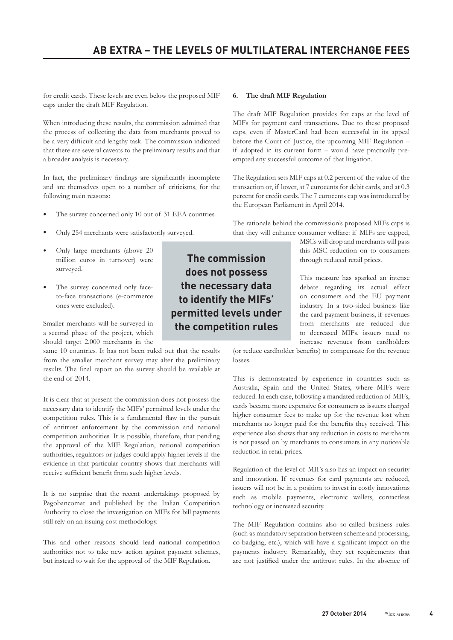for credit cards. These levels are even below the proposed MIF caps under the draft MIF Regulation.

When introducing these results, the commission admitted that the process of collecting the data from merchants proved to be a very difficult and lengthy task. The commission indicated that there are several caveats to the preliminary results and that a broader analysis is necessary.

In fact, the preliminary findings are significantly incomplete and are themselves open to a number of criticisms, for the following main reasons:

- The survey concerned only 10 out of 31 EEA countries.
- Only 254 merchants were satisfactorily surveyed.
- Only large merchants (above 20 million euros in turnover) were surveyed.
- The survey concerned only faceto-face transactions (e-commerce ones were excluded).

Smaller merchants will be surveyed in a second phase of the project, which should target 2,000 merchants in the

same 10 countries. It has not been ruled out that the results from the smaller merchant survey may alter the preliminary results. The final report on the survey should be available at the end of 2014.

It is clear that at present the commission does not possess the necessary data to identify the MIFs' permitted levels under the competition rules. This is a fundamental flaw in the pursuit of antitrust enforcement by the commission and national competition authorities. It is possible, therefore, that pending the approval of the MIF Regulation, national competition authorities, regulators or judges could apply higher levels if the evidence in that particular country shows that merchants will receive sufficient benefit from such higher levels.

It is no surprise that the recent undertakings proposed by Pagobancomat and published by the Italian Competition Authority to close the investigation on MIFs for bill payments still rely on an issuing cost methodology.

This and other reasons should lead national competition authorities not to take new action against payment schemes, but instead to wait for the approval of the MIF Regulation.

#### **6. The draft MIF Regulation**

The draft MIF Regulation provides for caps at the level of MIFs for payment card transactions. Due to these proposed caps, even if MasterCard had been successful in its appeal before the Court of Justice, the upcoming MIF Regulation – if adopted in its current form – would have practically preempted any successful outcome of that litigation.

The Regulation sets MIF caps at 0.2 percent of the value of the transaction or, if lower, at 7 eurocents for debit cards, and at 0.3 percent for credit cards. The 7 eurocents cap was introduced by the European Parliament in April 2014.

The rationale behind the commission's proposed MIFs caps is that they will enhance consumer welfare: if MIFs are capped,

> MSCs will drop and merchants will pass this MSC reduction on to consumers through reduced retail prices.

> This measure has sparked an intense debate regarding its actual effect on consumers and the EU payment industry. In a two-sided business like the card payment business, if revenues from merchants are reduced due to decreased MIFs, issuers need to increase revenues from cardholders

(or reduce cardholder benefits) to compensate for the revenue losses.

This is demonstrated by experience in countries such as Australia, Spain and the United States, where MIFs were reduced. In each case, following a mandated reduction of MIFs, cards became more expensive for consumers as issuers charged higher consumer fees to make up for the revenue lost when merchants no longer paid for the benefits they received. This experience also shows that any reduction in costs to merchants is not passed on by merchants to consumers in any noticeable reduction in retail prices.

Regulation of the level of MIFs also has an impact on security and innovation. If revenues for card payments are reduced, issuers will not be in a position to invest in costly innovations such as mobile payments, electronic wallets, contactless technology or increased security.

The MIF Regulation contains also so-called business rules (such as mandatory separation between scheme and processing, co-badging, etc.), which will have a significant impact on the payments industry. Remarkably, they set requirements that are not justified under the antitrust rules. In the absence of

The commission does not possess the necessary data to identify the MIFs' permitted levels under the competition rules